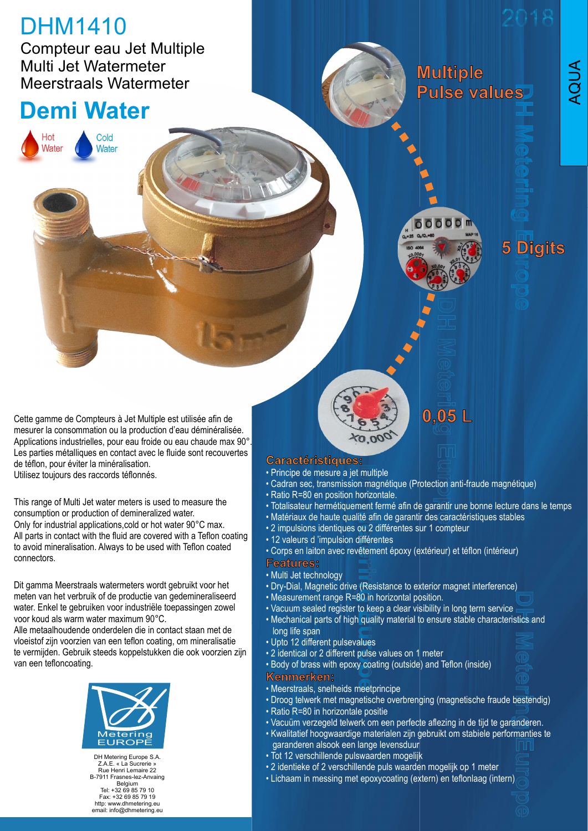# DHM1410

Compteur eau Jet Multiple Multi Jet Watermeter Meerstraals Watermeter

Cold

Water Water

**Cold** 

## Demi Water

**Multiple Pulse values** 



5 Digits

AQUA

Cette gamme de Compteurs à Jet Multiple est utilisée afin de mesurer la consommation ou la production d'eau déminéralisée. Applications industrielles, pour eau froide ou eau chaude max 90°. Les parties métalliques en contact avec le fluide sont recouvertes<br>de téflon, pour éviter la minéralisation de téflon, pour éviter la minéralisation. Utilisez toujours des raccords téflonnés.

This range of Multi Jet water meters is used to measure the consumption or production of demineralized water. Cette gamme de Compteurs à Jet Multiple est uilisée afin de<br>
mesurer la consonnation ou la production d'eau déminéralisée.<br>
Applications industrial applications .<br>
Les parties métaliques en contrad roide de usual déminéral All parts in contact with the fluid are covered with a Teflon coating Cette gamme de Compteurs à Jet Multiple est utilisée afin de<br>
Applications industrielles, pour eau robot de ou au chaude max 90%.<br>
Ales parties métalliques en contract avec le fluide sont recouvertes<br>
Les parties métalliqu Cette gamme de Compteurs à Jet Multiple est utilisée ain de<br>
Applications industrielles, pour eau froide ou eau chandemineralisée.<br>
Le teindo, pour éviter la minéralisation.<br>
Utilisez toujours des raccords téflomés.<br>
Utili

Dit gamma Meerstraals watermeters wordt gebruikt voor het meten van het verbruik of de productie van gedemineraliseerd van Measurement range R=80 in horizontal position. water. Enkel te gebruiken voor industriële toepassingen zowel voor koud als warm water maximum 90°C.

Alle metaalhoudende onderdelen die in contact staan met de vloeistof zijn voorzien van een teflon coating, om mineralisatie



DH Metering Europe S.A. Z.A.E. « La Sucrerie » Rue Henri Lemaire 22 B-7911 Frasnes-lez-Anvaing Belgium Tel: +32 69 85 79 10 Fax: +32 69 85 79 19 http: www.dhmetering.eu email: info@dhmetering.eu

- Principe de mesure a jet multiple
- Cadran sec, transmission magnétique (Protection anti-fraude magnétique)
- Ratio R=80 en position horizontale.
- Totalisateur hermétiquement fermé afin de garantir une bonne lecture dans le temps
- Matériaux de haute qualité afin de garantir des caractéristiques stables
- 2 impulsions identiques ou 2 différentes sur 1 compteur
- 12 valeurs d 'impulsion différentes
- Corps en laiton avec revêtement époxy (extérieur) et téflon (intérieur)
- Multi Jet technology
- Dry-Dial, Magnetic drive (Resistance to exterior magnet interference)
- 
- Vacuum sealed register to keep a clear visibility in long term service
- Measurement range R= 0 in horizontal position.<br>• Protice of mean section and intervalsion magnetique (Protection anti-fraude magnétique)<br>• Ratio R=80 en position horizontale.<br>• Totalisateur nemétiquement framé afin de ga • Mechanical parts of high quality material to ensure stable characteristics and long life span • Contract of the method of the method of the method of the method of the method of the method in Cadran sec, transmission magnétique (Protection anti-fraude magnétique)<br>• Ratio R=80 en position horizontale.<br>• Totalisateu
- Upto 12 different pulsevalues
- 2 identical or 2 different pulse values on 1 meter
- 

- Meerstraals, snelheids meetprincipe
- Droog telwerk met magnetische overbrenging (magnetische fraude bestendig)
- 
- Vacuüm verzegeld telwerk om een perfecte aflezing in de tijd te garanderen.
- Metering Kwalitatief hoogwaardige materialen zijn gebruikt om stabiele performanties te EUROPE (EUROPE) EIN EIN SUIT SUIT ASSANTING AND EN EUROPE STATE SUIT ALLEGEN EN SANTON EN SANTON DE SANTON EN<br>EUROPE (EUROPE STATE SUIT AND EN SANTON EN SANTON DE SANTON DE SANTON DE SANTON DE SANTON DE SANTON DE SANTON Carractérristinguess:<br>
• Principe de meusure a jet multiple<br>
• Cadran sec, transmission magnétique (Protection anti-fraude magnétique)<br>
• Ratio R=80 en position horizontale.<br>
• Matisateur hermétiquement fermé afin de garan
	- Tot 12 verschillende pulswaarden mogelijk
	- 2 identieke of 2 verschillende puls waarden mogelijk op 1 meter
	- Lichaam in messing met epoxycoating (extern) en teflonlaag (intern)
-